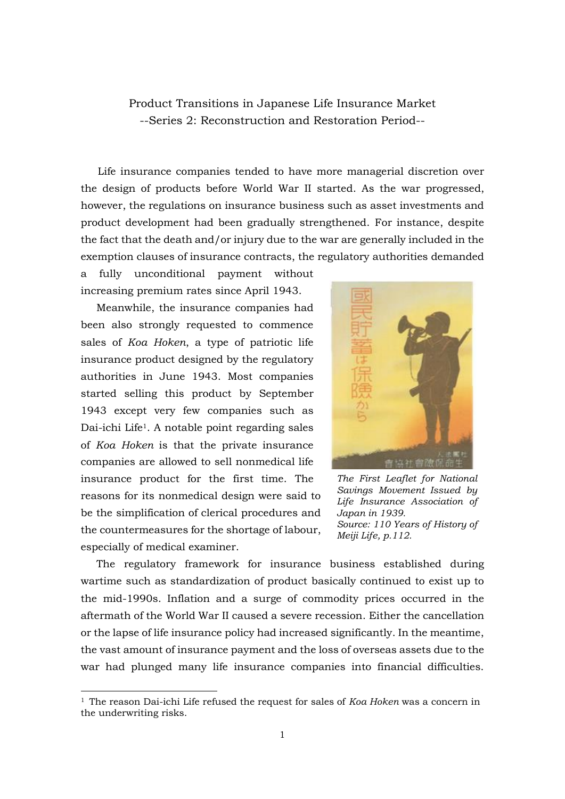Product Transitions in Japanese Life Insurance Market --Series 2: Reconstruction and Restoration Period--

Life insurance companies tended to have more managerial discretion over the design of products before World War II started. As the war progressed, however, the regulations on insurance business such as asset investments and product development had been gradually strengthened. For instance, despite the fact that the death and/or injury due to the war are generally included in the exemption clauses of insurance contracts, the regulatory authorities demanded

a fully unconditional payment without increasing premium rates since April 1943.

Meanwhile, the insurance companies had been also strongly requested to commence sales of *Koa Hoken*, a type of patriotic life insurance product designed by the regulatory authorities in June 1943. Most companies started selling this product by September 1943 except very few companies such as Dai-ichi Life1. A notable point regarding sales of *Koa Hoken* is that the private insurance companies are allowed to sell nonmedical life insurance product for the first time. The reasons for its nonmedical design were said to be the simplification of clerical procedures and the countermeasures for the shortage of labour, especially of medical examiner.

-



*The First Leaflet for National Savings Movement Issued by Life Insurance Association of Japan in 1939. Source: 110 Years of History of Meiji Life, p.112.*

The regulatory framework for insurance business established during wartime such as standardization of product basically continued to exist up to the mid-1990s. Inflation and a surge of commodity prices occurred in the aftermath of the World War II caused a severe recession. Either the cancellation or the lapse of life insurance policy had increased significantly. In the meantime, the vast amount of insurance payment and the loss of overseas assets due to the war had plunged many life insurance companies into financial difficulties.

<sup>1</sup> The reason Dai-ichi Life refused the request for sales of *Koa Hoken* was a concern in the underwriting risks.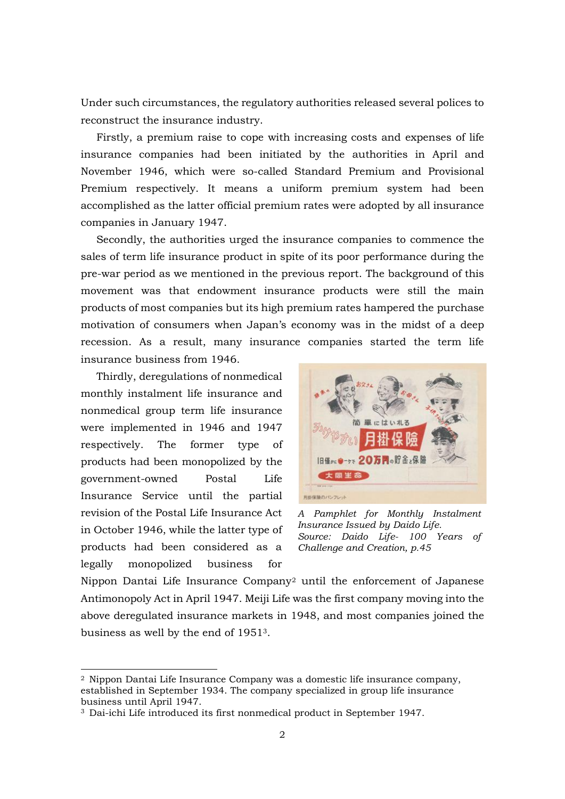Under such circumstances, the regulatory authorities released several polices to reconstruct the insurance industry.

Firstly, a premium raise to cope with increasing costs and expenses of life insurance companies had been initiated by the authorities in April and November 1946, which were so-called Standard Premium and Provisional Premium respectively. It means a uniform premium system had been accomplished as the latter official premium rates were adopted by all insurance companies in January 1947.

Secondly, the authorities urged the insurance companies to commence the sales of term life insurance product in spite of its poor performance during the pre-war period as we mentioned in the previous report. The background of this movement was that endowment insurance products were still the main products of most companies but its high premium rates hampered the purchase motivation of consumers when Japan's economy was in the midst of a deep recession. As a result, many insurance companies started the term life insurance business from 1946.

Thirdly, deregulations of nonmedical monthly instalment life insurance and nonmedical group term life insurance were implemented in 1946 and 1947 respectively. The former type of products had been monopolized by the government-owned Postal Life Insurance Service until the partial revision of the Postal Life Insurance Act in October 1946, while the latter type of products had been considered as a legally monopolized business for

-



*A Pamphlet for Monthly Instalment Insurance Issued by Daido Life. Source: Daido Life- 100 Years of Challenge and Creation, p.45*

Nippon Dantai Life Insurance Company<sup>2</sup> until the enforcement of Japanese Antimonopoly Act in April 1947. Meiji Life was the first company moving into the above deregulated insurance markets in 1948, and most companies joined the business as well by the end of 19513.

<sup>2</sup> Nippon Dantai Life Insurance Company was a domestic life insurance company, established in September 1934. The company specialized in group life insurance business until April 1947.

<sup>3</sup> Dai-ichi Life introduced its first nonmedical product in September 1947.